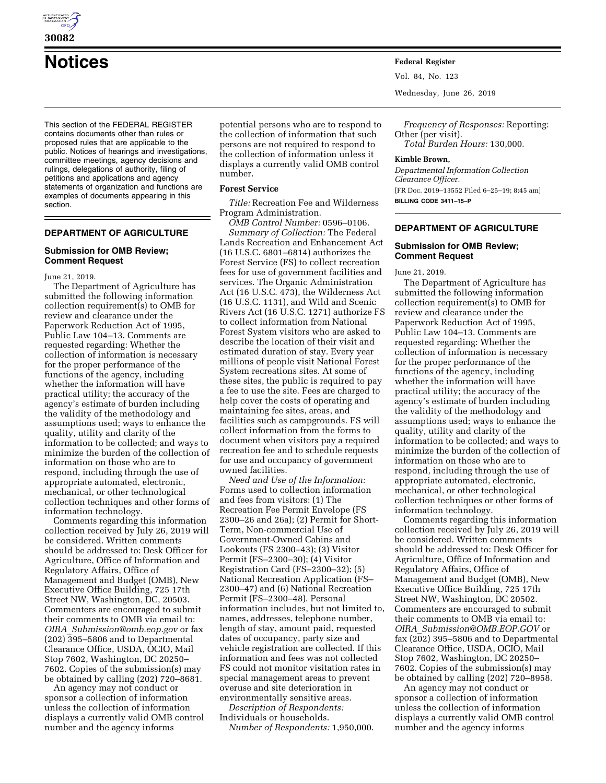

**30082** 

**Notices Federal Register**

This section of the FEDERAL REGISTER contains documents other than rules or proposed rules that are applicable to the public. Notices of hearings and investigations, committee meetings, agency decisions and rulings, delegations of authority, filing of petitions and applications and agency statements of organization and functions are examples of documents appearing in this section.

# **DEPARTMENT OF AGRICULTURE**

#### **Submission for OMB Review; Comment Request**

June 21, 2019.

The Department of Agriculture has submitted the following information collection requirement(s) to OMB for review and clearance under the Paperwork Reduction Act of 1995, Public Law 104–13. Comments are requested regarding: Whether the collection of information is necessary for the proper performance of the functions of the agency, including whether the information will have practical utility; the accuracy of the agency's estimate of burden including the validity of the methodology and assumptions used; ways to enhance the quality, utility and clarity of the information to be collected; and ways to minimize the burden of the collection of information on those who are to respond, including through the use of appropriate automated, electronic, mechanical, or other technological collection techniques and other forms of information technology.

Comments regarding this information collection received by July 26, 2019 will be considered. Written comments should be addressed to: Desk Officer for Agriculture, Office of Information and Regulatory Affairs, Office of Management and Budget (OMB), New Executive Office Building, 725 17th Street NW, Washington, DC, 20503. Commenters are encouraged to submit their comments to OMB via email to: *OIRA*\_*[Submission@omb.eop.gov](mailto:OIRA_Submission@omb.eop.gov)* or fax (202) 395–5806 and to Departmental Clearance Office, USDA, OCIO, Mail Stop 7602, Washington, DC 20250– 7602. Copies of the submission(s) may be obtained by calling (202) 720–8681.

An agency may not conduct or sponsor a collection of information unless the collection of information displays a currently valid OMB control number and the agency informs

potential persons who are to respond to the collection of information that such persons are not required to respond to the collection of information unless it displays a currently valid OMB control number.

#### **Forest Service**

*Title:* Recreation Fee and Wilderness Program Administration.

*OMB Control Number:* 0596–0106. *Summary of Collection:* The Federal Lands Recreation and Enhancement Act (16 U.S.C. 6801–6814) authorizes the Forest Service (FS) to collect recreation fees for use of government facilities and services. The Organic Administration Act (16 U.S.C. 473), the Wilderness Act (16 U.S.C. 1131), and Wild and Scenic Rivers Act (16 U.S.C. 1271) authorize FS to collect information from National Forest System visitors who are asked to describe the location of their visit and estimated duration of stay. Every year millions of people visit National Forest System recreations sites. At some of these sites, the public is required to pay a fee to use the site. Fees are charged to help cover the costs of operating and maintaining fee sites, areas, and facilities such as campgrounds. FS will collect information from the forms to document when visitors pay a required recreation fee and to schedule requests for use and occupancy of government owned facilities.

*Need and Use of the Information:*  Forms used to collection information and fees from visitors: (1) The Recreation Fee Permit Envelope (FS 2300–26 and 26a); (2) Permit for Short-Term, Non-commercial Use of Government-Owned Cabins and Lookouts (FS 2300–43); (3) Visitor Permit (FS–2300–30); (4) Visitor Registration Card (FS–2300–32); (5) National Recreation Application (FS– 2300–47) and (6) National Recreation Permit (FS–2300–48). Personal information includes, but not limited to, names, addresses, telephone number, length of stay, amount paid, requested dates of occupancy, party size and vehicle registration are collected. If this information and fees was not collected FS could not monitor visitation rates in special management areas to prevent overuse and site deterioration in environmentally sensitive areas.

*Description of Respondents:*  Individuals or households.

*Number of Respondents:* 1,950,000.

Vol. 84, No. 123

Wednesday, June 26, 2019

*Frequency of Responses:* Reporting: Other (per visit). *Total Burden Hours:* 130,000.

### **Kimble Brown,**

*Departmental Information Collection Clearance Officer.*  [FR Doc. 2019–13552 Filed 6–25–19; 8:45 am] **BILLING CODE 3411–15–P** 

### **DEPARTMENT OF AGRICULTURE**

### **Submission for OMB Review; Comment Request**

June 21, 2019.

The Department of Agriculture has submitted the following information collection requirement(s) to OMB for review and clearance under the Paperwork Reduction Act of 1995, Public Law 104–13. Comments are requested regarding: Whether the collection of information is necessary for the proper performance of the functions of the agency, including whether the information will have practical utility; the accuracy of the agency's estimate of burden including the validity of the methodology and assumptions used; ways to enhance the quality, utility and clarity of the information to be collected; and ways to minimize the burden of the collection of information on those who are to respond, including through the use of appropriate automated, electronic, mechanical, or other technological collection techniques or other forms of information technology.

Comments regarding this information collection received by July 26, 2019 will be considered. Written comments should be addressed to: Desk Officer for Agriculture, Office of Information and Regulatory Affairs, Office of Management and Budget (OMB), New Executive Office Building, 725 17th Street NW, Washington, DC 20502. Commenters are encouraged to submit their comments to OMB via email to: *OIRA*\_*[Submission@OMB.EOP.GOV](mailto:OIRA_Submission@OMB.EOP.GOV)* or fax (202) 395–5806 and to Departmental Clearance Office, USDA, OCIO, Mail Stop 7602, Washington, DC 20250– 7602. Copies of the submission(s) may be obtained by calling (202) 720–8958.

An agency may not conduct or sponsor a collection of information unless the collection of information displays a currently valid OMB control number and the agency informs